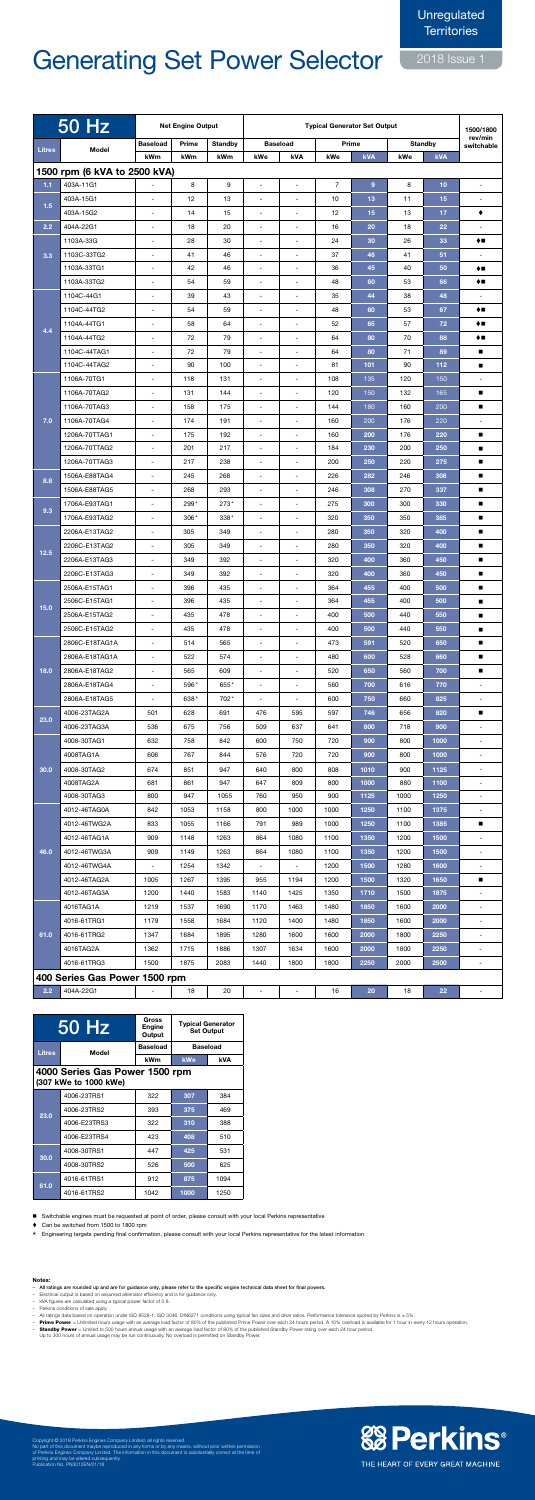## **Generating Set Power Selector**

2018 Issue 1

|               | <b>50 Hz</b>                   | <b>Net Engine Output</b>                             |              |                | <b>Typical Generator Set Output</b>        |                                                      |                |              |              |                | 1500/1800                                  |
|---------------|--------------------------------|------------------------------------------------------|--------------|----------------|--------------------------------------------|------------------------------------------------------|----------------|--------------|--------------|----------------|--------------------------------------------|
| <b>Litres</b> | Model                          | <b>Baseload</b>                                      | Prime        | <b>Standby</b> |                                            | <b>Baseload</b>                                      |                | Prime        |              | <b>Standby</b> | rev/min<br>switchable                      |
|               |                                | kWm                                                  | kWm          | kWm            | kWe                                        | kVA                                                  | kWe            | kVA          | kWe          | <b>kVA</b>     |                                            |
|               | 1500 rpm (6 kVA to 2500 kVA)   |                                                      |              |                |                                            |                                                      |                |              |              |                |                                            |
| 1.1           | 403A-11G1                      |                                                      | 8            | 9              | $\blacksquare$                             | $\blacksquare$                                       | $\overline{7}$ | 9            | 8            | 10             | $\overline{\phantom{0}}$                   |
| 1.5           | 403A-15G1                      | ÷,                                                   | 12           | 13             | $\overline{\phantom{a}}$                   | $\overline{\phantom{a}}$                             | 10             | 13           | 11           | 15             | $\blacksquare$                             |
|               | 403A-15G2                      | $\overline{a}$                                       | 14           | 15             | $\overline{\phantom{a}}$                   | $\overline{\phantom{a}}$                             | 12             | 15           | 13           | 17             | ٠                                          |
| 2.2           | 404A-22G1                      | $\overline{\phantom{a}}$                             | 18           | 20             | $\overline{\phantom{a}}$                   | $\overline{\phantom{a}}$                             | 16             | 20           | 18           | 22             |                                            |
|               | 1103A-33G                      | $\overline{\phantom{a}}$                             | 28           | 30             | $\overline{\phantom{a}}$                   | $\blacksquare$                                       | 24             | 30           | 26           | 33             | ♦■                                         |
| 3.3           | 1103C-33TG2                    | $\overline{a}$                                       | 41           | 46             | $\overline{\phantom{a}}$                   | $\overline{\phantom{a}}$                             | 37             | 46           | 41           | 51             |                                            |
|               | 1103A-33TG1<br>1103A-33TG2     | $\overline{a}$                                       | 42<br>54     | 46             | $\overline{\phantom{a}}$                   | $\overline{\phantom{a}}$                             | 36             | 45           | 40           | 50             | $\blacklozenge$                            |
|               | 1104C-44G1                     | $\overline{\phantom{a}}$<br>$\overline{\phantom{a}}$ | 39           | 59<br>43       | $\blacksquare$<br>$\overline{\phantom{a}}$ | $\overline{\phantom{a}}$<br>$\overline{\phantom{a}}$ | 48<br>35       | 60<br>44     | 53           | 66<br>48       | ♦■                                         |
|               | 1104C-44TG2                    | $\overline{\phantom{a}}$                             | 54           | 59             | $\overline{\phantom{a}}$                   | -                                                    | 48             | 60           | 38<br>53     | 67             | ♦■                                         |
|               | 1104A-44TG1                    | $\overline{a}$                                       | 58           | 64             | $\overline{\phantom{a}}$                   | $\overline{a}$                                       | 52             | 65           | 57           | 72             | ♦■                                         |
| 4.4           | 1104A-44TG2                    | $\overline{\phantom{a}}$                             | 72           | 79             | $\overline{\phantom{a}}$                   | $\overline{\phantom{a}}$                             | 64             | 80           | 70           | 88             | ♦■                                         |
|               | 1104C-44TAG1                   | $\blacksquare$                                       | 72           | 79             | $\blacksquare$                             | $\blacksquare$                                       | 64             | 80           | 71           | 89             | п                                          |
|               | 1104C-44TAG2                   | $\qquad \qquad \blacksquare$                         | 90           | 100            | $\overline{\phantom{a}}$                   | ۰                                                    | 81             | 101          | 90           | 112            | п                                          |
|               | 1106A-70TG1                    | $\overline{\phantom{a}}$                             | 118          | 131            | $\overline{\phantom{a}}$                   | -                                                    | 108            | 135          | 120          | 150            | $\overline{\phantom{a}}$                   |
|               | 1106A-70TAG2                   | ÷,                                                   | 131          | 144            | $\overline{\phantom{a}}$                   | ÷,                                                   | 120            | 150          | 132          | 165            | ■                                          |
|               | 1106A-70TAG3                   | $\overline{\phantom{a}}$                             | 158          | 175            | $\sim$                                     | $\blacksquare$                                       | 144            | 180          | 160          | 200            | п                                          |
| 7.0           | 1106A-70TAG4                   | $\overline{\phantom{a}}$                             | 174          | 191            | $\blacksquare$                             | $\overline{\phantom{a}}$                             | 160            | 200          | 176          | 220            | $\blacksquare$                             |
|               | 1206A-70TTAG1                  | $\overline{\phantom{a}}$                             | 175          | 192            | $\blacksquare$                             | ۰                                                    | 160            | 200          | 176          | 220            | п                                          |
|               | 1206A-70TTAG2                  | $\overline{\phantom{a}}$                             | 201          | 217            | $\overline{\phantom{a}}$                   | $\overline{\phantom{a}}$                             | 184            | 230          | 200          | 250            | п                                          |
|               | 1206A-70TTAG3                  | ÷                                                    | 217          | 238            | $\overline{\phantom{a}}$                   | $\overline{\phantom{a}}$                             | 200            | 250          | 220          | 275            | п                                          |
| 8.8           | 1506A-E88TAG4                  | $\overline{a}$                                       | 245          | 268            |                                            |                                                      | 226            | 282          | 246          | 308            | п                                          |
|               | 1506A-E88TAG5                  | $\overline{\phantom{a}}$                             | 268          | 293            | $\overline{\phantom{a}}$                   | $\overline{\phantom{a}}$                             | 246            | 308          | 270          | 337            | п                                          |
| 9.3           | 1706A-E93TAG1                  | $\blacksquare$                                       | 299*         | $273*$         | $\blacksquare$                             | $\blacksquare$                                       | 275            | 300          | 300          | 330            | $\blacksquare$                             |
|               | 1706A-E93TAG2                  | $\blacksquare$                                       | $306*$       | $338*$         | $\blacksquare$                             | $\blacksquare$                                       | 320            | 350          | 350          | 385            | п                                          |
|               | 2206A-E13TAG2                  | $\overline{\phantom{a}}$                             | 305          | 349            | $\blacksquare$                             | $\overline{\phantom{a}}$                             | 280            | 350          | 320          | 400            |                                            |
| $12.5$        | 2206C-E13TAG2                  | $\overline{\phantom{a}}$                             | 305          | 349            | $\blacksquare$                             | $\blacksquare$                                       | 280            | 350          | 320          | 400            |                                            |
|               | 2206A-E13TAG3                  | $\overline{\phantom{a}}$                             | 349          | 392            | $\blacksquare$                             | $\overline{\phantom{a}}$                             | 320            | 400          | 360          | 450            | $\blacksquare$                             |
|               | 2206C-E13TAG3                  | $\blacksquare$                                       | 349          | 392            | $\blacksquare$                             | $\blacksquare$                                       | 320            | 400          | 360          | 450            | $\blacksquare$                             |
|               | 2506A-E15TAG1                  | $\overline{\phantom{a}}$                             | 396          | 435            | $\blacksquare$                             | $\blacksquare$                                       | 364            | 455          | 400          | 500            |                                            |
| $15.0$        | 2506C-E15TAG1                  | $\blacksquare$                                       | 396          | 435            | $\blacksquare$                             | $\overline{\phantom{a}}$                             | 364            | 455          | 400          | 500            | $\blacksquare$                             |
|               | 2506A-E15TAG2<br>2506C-E15TAG2 | $\blacksquare$<br>$\overline{\phantom{a}}$           | 435<br>435   | 478<br>478     | $\blacksquare$<br>$\blacksquare$           | $\overline{\phantom{a}}$<br>$\blacksquare$           | 400<br>400     | 500<br>500   | 440<br>440   | 550<br>550     | п                                          |
|               | 2806C-E18TAG1A                 | $\blacksquare$                                       | 514          | 565            | $\blacksquare$                             | $\blacksquare$                                       | 473            | 591          | 520          | 650            | $\blacksquare$                             |
|               | 2806A-E18TAG1A                 | $\blacksquare$                                       | 522          | 574            | $\blacksquare$                             | $\blacksquare$                                       | 480            | 600          | 528          | 660            |                                            |
| 18.0          | 2806A-E18TAG2                  | $\blacksquare$                                       | 565          | 609            | $\blacksquare$                             | $\blacksquare$                                       | 520            | 650          | 560          | 700            |                                            |
|               | 2806A-E18TAG4                  | $\blacksquare$                                       | 596*         | 655*           | $\blacksquare$                             | $\blacksquare$                                       | 560            | 700          | 616          | 770            | $\sim$                                     |
|               | 2806A-E18TAG5                  | $\blacksquare$                                       | 638*         | 702*           | $\overline{\phantom{a}}$                   | $\overline{\phantom{a}}$                             | 600            | 750          | 660          | 825            | $\sim$                                     |
|               | 4006-23TAG2A                   | 501                                                  | 628          | 691            | 476                                        | 595                                                  | 597            | 746          | 656          | 820            | п                                          |
| 23.0          | 4006-23TAG3A                   | 536                                                  | 675          | 756            | 509                                        | 637                                                  | 641            | 800          | 718          | 900            | $\blacksquare$                             |
|               | 4008-30TAG1                    | 632                                                  | 758          | 842            | 600                                        | 750                                                  | 720            | 900          | 800          | 1000           | $\blacksquare$                             |
|               | 4008TAG1A                      | 606                                                  | 767          | 844            | 576                                        | 720                                                  | 720            | 900          | 800          | 1000           | $\blacksquare$                             |
| 30.0          | 4008-30TAG2                    | 674                                                  | 851          | 947            | 640                                        | 800                                                  | 808            | 1010         | 900          | 1125           | $\blacksquare$                             |
|               | 4008TAG2A                      | 681                                                  | 861          | 947            | 647                                        | 809                                                  | 800            | 1000         | 880          | 1100           | $\blacksquare$                             |
|               | 4008-30TAG3                    | 800                                                  | 947          | 1055           | 760                                        | 950                                                  | 900            | 1125         | 1000         | 1250           | $\blacksquare$                             |
| 46.0          | 4012-46TAG0A                   | 842                                                  | 1053         | 1158           | 800                                        | 1000                                                 | 1000           | 1250         | 1100         | 1375           | $\sim$                                     |
|               | 4012-46TWG2A                   | 833                                                  | 1055         | 1166           | 791                                        | 989                                                  | 1000           | 1250         | 1100         | 1385           | $\blacksquare$                             |
|               | 4012-46TAG1A                   | 909                                                  | 1148         | 1263           | 864                                        | 1080                                                 | 1100           | 1350         | 1200         | 1500           | $\blacksquare$                             |
|               | 4012-46TWG3A                   | 909                                                  | 1149         | 1263           | 864                                        | 1080                                                 | 1100           | 1350         | 1200         | 1500           |                                            |
|               | 4012-46TWG4A                   | ÷.                                                   | 1254         | 1342           | $\overline{\phantom{a}}$                   |                                                      | 1200           | 1500         | 1280         | 1600           | $\blacksquare$                             |
|               | 4012-46TAG2A                   | 1005                                                 | 1267         | 1395           | 955                                        | 1194                                                 | 1200           | 1500         | 1320         | 1650           | п                                          |
| 61.0          | 4012-46TAG3A                   | 1200                                                 | 1440         | 1583           | 1140                                       | 1425                                                 | 1350           | 1710         | 1500         | 1875           | $\overline{\phantom{a}}$                   |
|               | 4016TAG1A                      | 1219                                                 | 1537         | 1690           | 1170                                       | 1463                                                 | 1480           | 1850         | 1600         | 2000           | $\overline{\phantom{a}}$                   |
|               | 4016-61TRG1                    | 1179                                                 | 1558         | 1684           | 1120                                       | 1400                                                 | 1480           | 1850         | 1600         | 2000           | $\blacksquare$                             |
|               | 4016-61TRG2<br>4016TAG2A       | 1347<br>1362                                         | 1684<br>1715 | 1895<br>1886   | 1280<br>1307                               | 1600<br>1634                                         | 1600<br>1600   | 2000<br>2000 | 1800<br>1800 | 2250<br>2250   | $\blacksquare$<br>$\overline{\phantom{a}}$ |
|               | 4016-61TRG3                    | 1500                                                 | 1875         | 2083           | 1440                                       | 1800                                                 | 1800           | 2250         | 2000         | 2500           | $\blacksquare$                             |
|               | 400 Series Gas Power 1500 rpm  |                                                      |              |                |                                            |                                                      |                |              |              |                |                                            |
| 2.2           | 404A-22G1                      | $\overline{a}$                                       | 18           | 20             | $\blacksquare$                             | $\blacksquare$                                       | 16             | 20           | 18           | 22             | $\blacksquare$                             |
|               |                                |                                                      |              |                |                                            |                                                      |                |              |              |                |                                            |

|                                                         | 50 Hz        | Gross<br>Engine<br>Output |                 | <b>Typical Generator</b><br><b>Set Output</b> |  |  |  |  |  |
|---------------------------------------------------------|--------------|---------------------------|-----------------|-----------------------------------------------|--|--|--|--|--|
| <b>Litres</b>                                           | Model        | <b>Baseload</b>           | <b>Baseload</b> |                                               |  |  |  |  |  |
|                                                         |              | <b>kWm</b>                | <b>kWe</b>      | kVA                                           |  |  |  |  |  |
| 4000 Series Gas Power 1500 rpm<br>(307 kWe to 1000 kWe) |              |                           |                 |                                               |  |  |  |  |  |
|                                                         | 4006-23TRS1  | 322                       | 307             | 384                                           |  |  |  |  |  |
| 23.0                                                    | 4006-23TRS2  | 393                       | 375             | 469                                           |  |  |  |  |  |
|                                                         | 4006-E23TRS3 | 322                       | 310             | 388                                           |  |  |  |  |  |
|                                                         | 4006-E23TRS4 | 423                       | 408             | 510                                           |  |  |  |  |  |
| 30.0                                                    | 4008-30TRS1  | 447                       | 425             | 531                                           |  |  |  |  |  |
|                                                         | 4008-30TRS2  | 526                       | 500             | 625                                           |  |  |  |  |  |
| 61.0                                                    | 4016-61TRS1  | 912                       | 875             | 1094                                          |  |  |  |  |  |
|                                                         | 4016-61TRS2  | 1042                      | 1000            | 1250                                          |  |  |  |  |  |

Switchable engines must be requested at point of order, please consult with your local Perkins representative

♦ Can be switched from 1500 to 1800 rpm

\* Engineering targets pending final confirmation, please consult with your local Perkins representative for the latest information

### Notes:

- All ratings are rounded up and are for guidance only, please refer to the specific engine technical data sheet for final powers.

- $\overline{a}$ Electrical output is based on assumed alternator efficiency and is for guidance only.
- kVA figures are calculated using a typical power factor of 0.8.
- Perkins conditions of sale apply.
- All ratings data based on operation under ISO 8528-1, ISO 3046, DIN6271 conditions using typical fan sizes and drive ratios. Performance tolerance quoted by Perkins is ± 5%.
- Prime Power = Unlimited hours usage with an average load factor of 80% of the published Prime Power over each 24 hours period. A 10% overload is available for 1 hour in every 12 hours operation. 1. and to some the comparator of 80% of the published Standby Power rating over each 24 hour priori. The context of 80% of the published Standby Power rating over each 24 hour period.

Up to 300 hours of annual usage may be run continuously. No overload is permitted on Standby Power.

# **&Perkins**

Copyright © 2018 Perkins Engines Company Limited, all rights reserved.<br>No part of this document maybe reproduced in any forms or by any means, without prior written permission<br>of Perkins Engines Company Limited. The inform